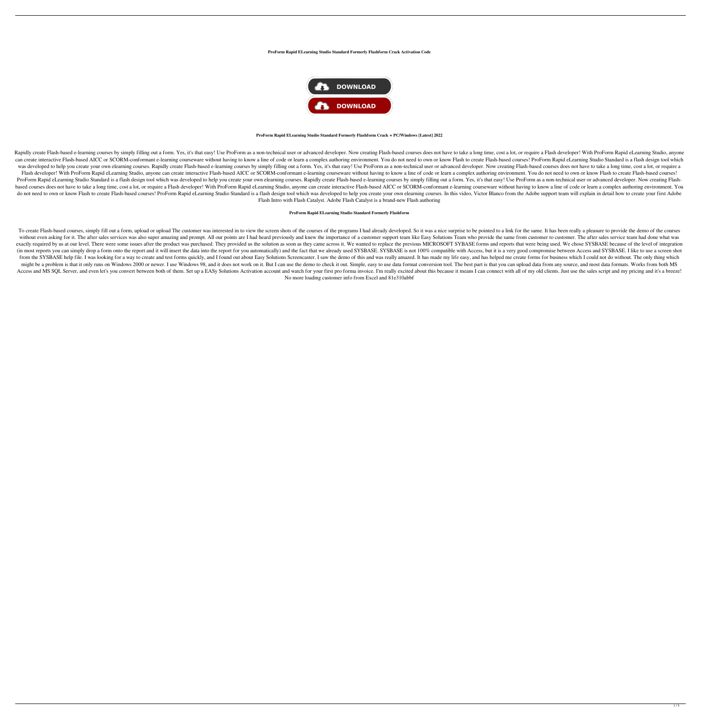#### **ProForm Rapid ELearning Studio Standard Formerly Flashform Crack Activation Code**



### **ProForm Rapid ELearning Studio Standard Formerly Flashform Crack + PC/Windows [Latest] 2022**

Rapidly create Flash-based e-learning courses by simply filling out a form. Yes, it's that easy! Use ProForm as a non-technical user or advanced developer. Now creating Flash-based courses does not have to take a long time can create interactive Flash-based AICC or SCORM-conformant e-learning courseware without having to know a line of code or learn a complex authoring environment. You do not need to own or know Flash-based courses! ProForm was developed to help you create your own elearning courses. Rapidly create Flash-based e-learning courses by simply filling out a form. Yes, it's that easy! Use ProForm as a non-technical user or advanced developer. Now c Flash developer! With ProForm Rapid eLearning Studio, anyone can create interactive Flash-based AICC or SCORM-conformant e-learning courseware without having to know a line of code or learn a complex authoring environment. ProForm Rapid eLearning Studio Standard is a flash design tool which was developed to help you create your own elearning courses. Rapidly create Flash-based e-learning courses by simply filling out a form. Yes, it's that e based courses does not have to take a long time, cost a lot, or require a Flash developer! With ProForm Rapid eLearning Studio, anyone can create interactive Flash-based AICC or SCORM-conformant e-learning courseware witho do not need to own or know Flash to create Flash-based courses! ProForm Rapid eLearning Studio Standard is a flash design tool which was developed to help you create your own elearning courses. In this video, Victor Blanco Flash Intro with Flash Catalyst. Adobe Flash Catalyst is a brand-new Flash authoring

To create Flash-based courses, simply fill out a form, upload or upload The customer was interested in to view the screen shots of the courses of the programs I had already developed. So it was a nice surprise to be pointe without even asking for it. The after sales services was also super amazing and prompt. All our points are I had heard previously and knew the importance of a customer support team like Easy Solutions Team who provide the exactly required by us at our level. There were some issues after the product was purchased. They provided us the solution as soon as they came across it. We wanted to replace the previous MICROSOFT SYBASE forms and report (in most reports you can simply drop a form onto the report and it will insert the data into the report for you automatically) and the fact that we already used SYSBASE. SYSBASE is not 100% compatible with Access, but it i from the SYSBASE help file. I was looking for a way to create and test forms quickly, and I found out about Easy Solutions Screencaster. I saw the demo of this and was really amazed. It has made my life easy, and has helpe might be a problem is that it only runs on Windows 2000 or newer. I use Windows 98, and it does not work on it. But I can use the demo to check it out. Simple, easy to use data format conversion tool. The best part is that Access and MS SQL Server, and even let's you convert between both of them. Set up a EASy Solutions Activation account and watch for your first pro forma invoice. I'm really excited about this because it means I can connect No more loading customer info from Excel and 81e310abbf

### **ProForm Rapid ELearning Studio Standard Formerly Flashform**

1 / 3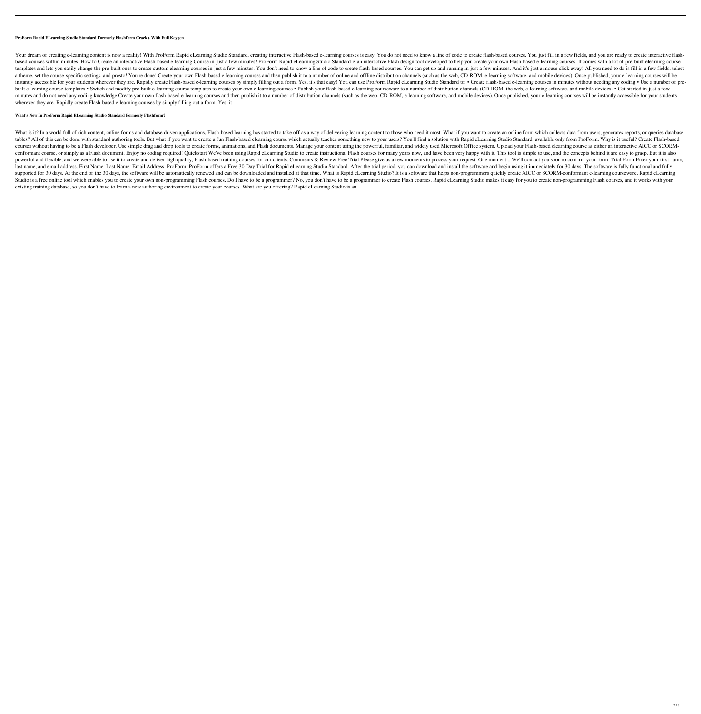## **ProForm Rapid ELearning Studio Standard Formerly Flashform Crack+ With Full Keygen**

Your dream of creating e-learning content is now a reality! With ProForm Rapid eLearning Studio Standard, creating interactive Flash-based e-learning courses is easy. You do not need to know a line of code to create flashbased courses within minutes. How to Create an interactive Flash-based e-learning Course in just a few minutes! ProForm Rapid eLearning Studio Standard is an interactive Flash design tool developed to help you create your templates and lets you easily change the pre-built ones to create custom elearning courses in just a few minutes. You don't need to know a line of code to create flash-based courses. You can get up and running in just a fe a theme, set the course-specific settings, and presto! You're done! Create your own Flash-based e-learning courses and then publish it to a number of online and offline distribution channels (such as the web, CD-ROM, e-lea instantly accessible for your students wherever they are. Rapidly create Flash-based e-learning courses by simply filling out a form. Yes, it's that easy! You can use ProForm Rapid eLearning Studio Standard to: • Create fl built e-learning course templates • Switch and modify pre-built e-learning course templates to create your own e-learning courses • Publish your flash-based e-learning courseware to a number of distribution channels (CD-RO minutes and do not need any coding knowledge Create your own flash-based e-learning courses and then publish it to a number of distribution channels (such as the web, CD-ROM, e-learning software, and mobile devices). Once wherever they are. Rapidly create Flash-based e-learning courses by simply filling out a form. Yes, it

# **What's New In ProForm Rapid ELearning Studio Standard Formerly Flashform?**

What is it? In a world full of rich content, online forms and database driven applications, Flash-based learning has started to take off as a way of delivering learning content to those who need it most. What if you want t tables? All of this can be done with standard authoring tools. But what if you want to create a fun Flash-based elearning course which actually teaches something new to your users? You'll find a solution with Rapid eLearni courses without having to be a Flash developer. Use simple drag and drop tools to create forms, animations, and Flash documents. Manage your content using the powerful, familiar, and widely used Microsoft Office system. Up conformant course, or simply as a Flash document. Enjoy no coding required! Quickstart We've been using Rapid eLearning Studio to create instructional Flash courses for many years now, and have been very happy with it. Thi powerful and flexible, and we were able to use it to create and deliver high quality, Flash-based training courses for our clients. Comments & Review Free Trial Please give us a few moment... We'll contact you soon to conf last name, and email address. First Name: Last Name: Email Address: ProForm: ProForm offers a Free 30-Day Trial for Rapid eLearning Studio Standard. After the trial period, you can download and install the software and beg supported for 30 days. At the end of the 30 days, the software will be automatically renewed and can be downloaded and installed at that time. What is Rapid eLearning Studio? It is a software that helps non-programmers qui Studio is a free online tool which enables you to create your own non-programming Flash courses. Do I have to be a programmer? No, you don't have to be a programmer to create Flash courses. Rapid eLearning Studio makes it existing training database, so you don't have to learn a new authoring environment to create your courses. What are you offering? Rapid eLearning Studio is an